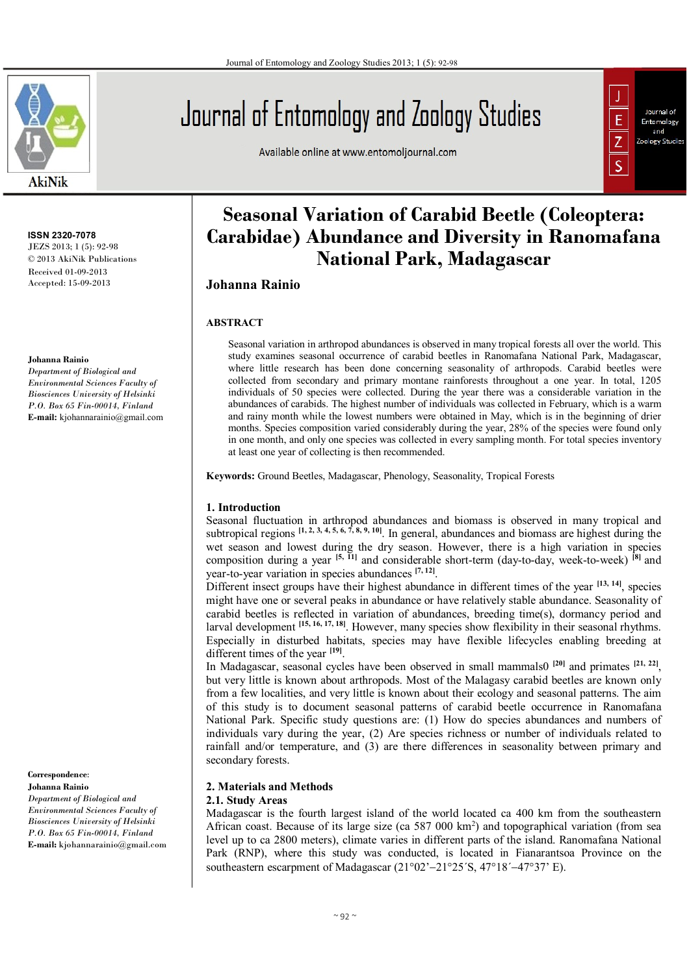

**ISSN 2320-7078** JEZS 2013; 1 (5): 92-98 © 2013 AkiNik Publications Received 01-09-2013 Accepted: 15-09-2013

#### **Johanna Rainio**

*Department of Biological and Environmental Sciences Faculty of Biosciences University of Helsinki P.O. Box 65 Fin-00014, Finland* **E-mail:** kjohannarainio@gmail.com

**Correspondence**: **Johanna Rainio** *Department of Biological and Environmental Sciences Faculty of Biosciences University of Helsinki P.O. Box 65 Fin-00014, Finland* **E-mail:** kjohannarainio@gmail.com

# Journal of Entomology and Zoology Studies

Available online at www.entomoljournal.com



# **Seasonal Variation of Carabid Beetle (Coleoptera: Carabidae) Abundance and Diversity in Ranomafana National Park, Madagascar**

## **Johanna Rainio**

#### **ABSTRACT**

Seasonal variation in arthropod abundances is observed in many tropical forests all over the world. This study examines seasonal occurrence of carabid beetles in Ranomafana National Park, Madagascar, where little research has been done concerning seasonality of arthropods. Carabid beetles were collected from secondary and primary montane rainforests throughout a one year. In total, 1205 individuals of 50 species were collected. During the year there was a considerable variation in the abundances of carabids. The highest number of individuals was collected in February, which is a warm and rainy month while the lowest numbers were obtained in May, which is in the beginning of drier months. Species composition varied considerably during the year, 28% of the species were found only in one month, and only one species was collected in every sampling month. For total species inventory at least one year of collecting is then recommended.

**Keywords:** Ground Beetles, Madagascar, Phenology, Seasonality, Tropical Forests

#### **1. Introduction**

Seasonal fluctuation in arthropod abundances and biomass is observed in many tropical and subtropical regions <sup>[1, 2, 3, 4, 5, 6, 7, 8, 9, 10]. In general, abundances and biomass are highest during the</sup> wet season and lowest during the dry season. However, there is a high variation in species composition during a year **[5, 11]** and considerable short-term (day-to-day, week-to-week) **[8]** and year-to-year variation in species abundances **[7, 12]** .

Different insect groups have their highest abundance in different times of the year <sup>[13, 14]</sup>, species might have one or several peaks in abundance or have relatively stable abundance. Seasonality of carabid beetles is reflected in variation of abundances, breeding time(s), dormancy period and larval development **[15, 16, 17, 18]**. However, many species show flexibility in their seasonal rhythms. Especially in disturbed habitats, species may have flexible lifecycles enabling breeding at different times of the year **[19]** .

In Madagascar, seasonal cycles have been observed in small mammals0<sup>[20]</sup> and primates <sup>[21, 22]</sup>, but very little is known about arthropods. Most of the Malagasy carabid beetles are known only from a few localities, and very little is known about their ecology and seasonal patterns. The aim of this study is to document seasonal patterns of carabid beetle occurrence in Ranomafana National Park. Specific study questions are: (1) How do species abundances and numbers of individuals vary during the year, (2) Are species richness or number of individuals related to rainfall and/or temperature, and (3) are there differences in seasonality between primary and secondary forests.

## **2. Materials and Methods**

#### **2.1. Study Areas**

Madagascar is the fourth largest island of the world located ca 400 km from the southeastern African coast. Because of its large size (ca 587 000 km<sup>2</sup> ) and topographical variation (from sea level up to ca 2800 meters), climate varies in different parts of the island. Ranomafana National Park (RNP), where this study was conducted, is located in Fianarantsoa Province on the southeastern escarpment of Madagascar  $(21°02' - 21°25' S, 47°18' - 47°37' E)$ .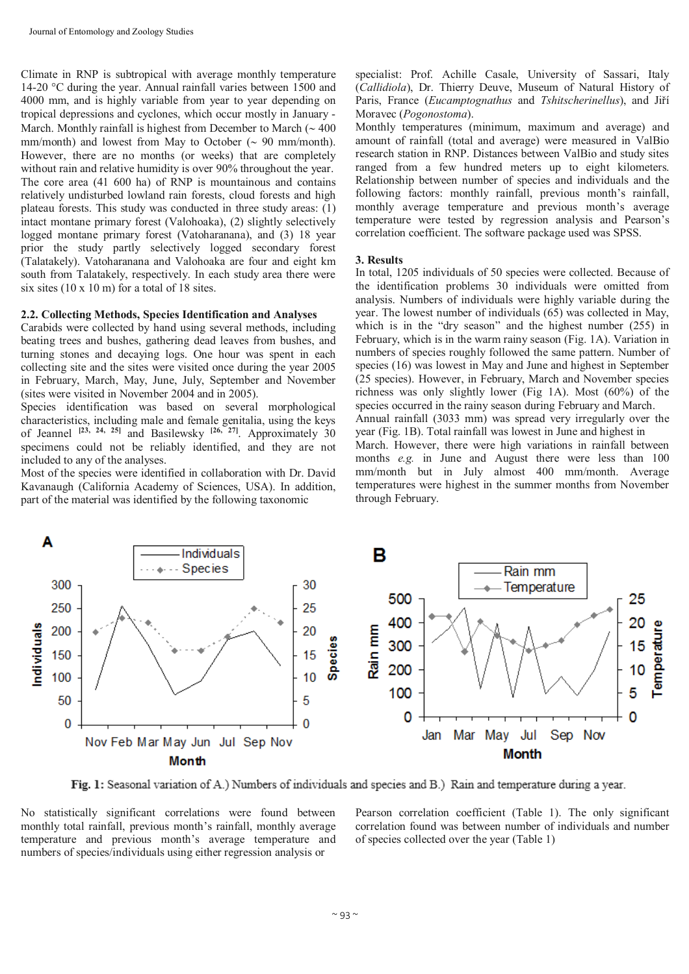Climate in RNP is subtropical with average monthly temperature 14-20 °C during the year. Annual rainfall varies between 1500 and 4000 mm, and is highly variable from year to year depending on tropical depressions and cyclones, which occur mostly in January - March. Monthly rainfall is highest from December to March  $($   $\sim$  400 mm/month) and lowest from May to October  $( \sim 90 \text{ mm/month}).$ However, there are no months (or weeks) that are completely without rain and relative humidity is over 90% throughout the year. The core area (41 600 ha) of RNP is mountainous and contains relatively undisturbed lowland rain forests, cloud forests and high plateau forests. This study was conducted in three study areas: (1) intact montane primary forest (Valohoaka), (2) slightly selectively logged montane primary forest (Vatoharanana), and (3) 18 year prior the study partly selectively logged secondary forest (Talatakely). Vatoharanana and Valohoaka are four and eight km south from Talatakely, respectively. In each study area there were six sites (10 x 10 m) for a total of 18 sites.

#### **2.2. Collecting Methods, Species Identification and Analyses**

Carabids were collected by hand using several methods, including beating trees and bushes, gathering dead leaves from bushes, and turning stones and decaying logs. One hour was spent in each collecting site and the sites were visited once during the year 2005 in February, March, May, June, July, September and November (sites were visited in November 2004 and in 2005).

Species identification was based on several morphological characteristics, including male and female genitalia, using the keys of Jeannel **[23, 24, 25]** and Basilewsky **[26, 27]**. Approximately 30 specimens could not be reliably identified, and they are not included to any of the analyses.

Most of the species were identified in collaboration with Dr. David Kavanaugh (California Academy of Sciences, USA). In addition, part of the material was identified by the following taxonomic

specialist: Prof. Achille Casale, University of Sassari, Italy (*Callidiola*), Dr. Thierry Deuve, Museum of Natural History of Paris, France (*Eucamptognathus* and *Tshitscherinellus*), and Jiří Moravec (*Pogonostoma*).

Monthly temperatures (minimum, maximum and average) and amount of rainfall (total and average) were measured in ValBio research station in RNP. Distances between ValBio and study sites ranged from a few hundred meters up to eight kilometers. Relationship between number of species and individuals and the following factors: monthly rainfall, previous month's rainfall, monthly average temperature and previous month's average temperature were tested by regression analysis and Pearson's correlation coefficient. The software package used was SPSS.

#### **3. Results**

In total, 1205 individuals of 50 species were collected. Because of the identification problems 30 individuals were omitted from analysis. Numbers of individuals were highly variable during the year. The lowest number of individuals (65) was collected in May, which is in the "dry season" and the highest number (255) in February, which is in the warm rainy season (Fig. 1A). Variation in numbers of species roughly followed the same pattern. Number of species (16) was lowest in May and June and highest in September (25 species). However, in February, March and November species richness was only slightly lower (Fig 1A). Most (60%) of the species occurred in the rainy season during February and March. Annual rainfall (3033 mm) was spread very irregularly over the year (Fig. 1B). Total rainfall was lowest in June and highest in March. However, there were high variations in rainfall between months *e.g.* in June and August there were less than 100 mm/month but in July almost 400 mm/month. Average temperatures were highest in the summer months from November through February.



Fig. 1: Seasonal variation of A.) Numbers of individuals and species and B.) Rain and temperature during a year.

No statistically significant correlations were found between monthly total rainfall, previous month's rainfall, monthly average temperature and previous month's average temperature and numbers of species/individuals using either regression analysis or

Pearson correlation coefficient (Table 1). The only significant correlation found was between number of individuals and number of species collected over the year (Table 1)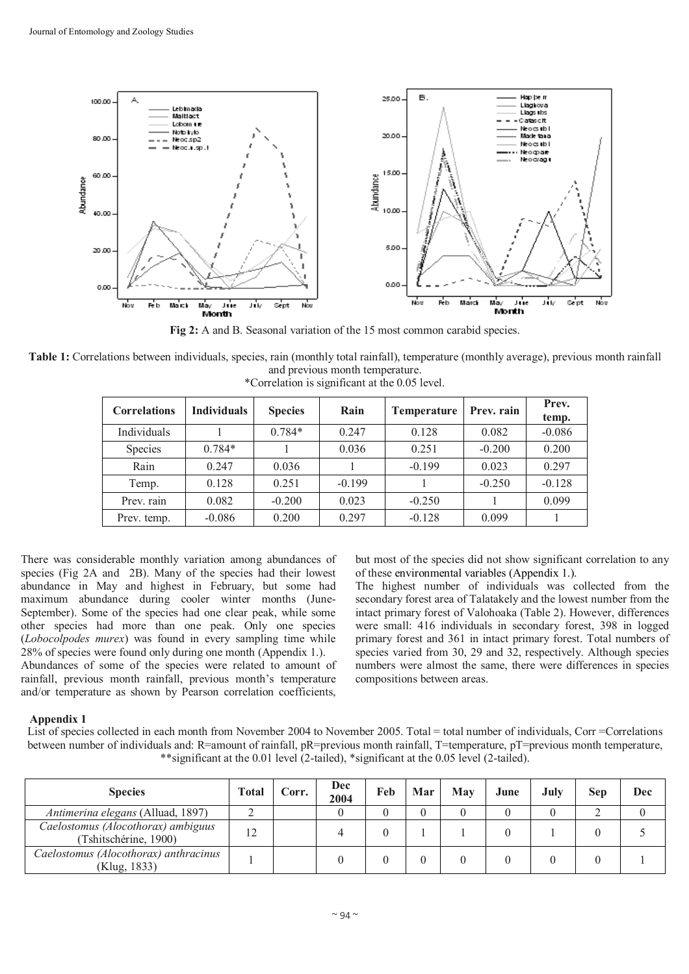

**Fig 2:** A and B. Seasonal variation of the 15 most common carabid species.

**Table 1:** Correlations between individuals, species, rain (monthly total rainfall), temperature (monthly average), previous month rainfall and previous month temperature.

| <b>Correlations</b> | <b>Individuals</b> | <b>Species</b> | Rain     | <b>Temperature</b> | Prev. rain | Prev.<br>temp. |
|---------------------|--------------------|----------------|----------|--------------------|------------|----------------|
| Individuals         |                    | $0.784*$       | 0.247    | 0.128              | 0.082      | $-0.086$       |
| Species             | $0.784*$           |                | 0.036    | 0.251              | $-0.200$   | 0.200          |
| Rain                | 0.247              | 0.036          |          | $-0.199$           | 0.023      | 0.297          |
| Temp.               | 0.128              | 0.251          | $-0.199$ |                    | $-0.250$   | $-0.128$       |
| Prev. rain          | 0.082              | $-0.200$       | 0.023    | $-0.250$           |            | 0.099          |
| Prev. temp.         | $-0.086$           | 0.200          | 0.297    | $-0.128$           | 0.099      |                |

\*Correlation is significant at the 0.05 level.

There was considerable monthly variation among abundances of species (Fig 2A and 2B). Many of the species had their lowest abundance in May and highest in February, but some had maximum abundance during cooler winter months (June-September). Some of the species had one clear peak, while some other species had more than one peak. Only one species (*Lobocolpodes murex*) was found in every sampling time while 28% of species were found only during one month (Appendix 1.).

Abundances of some of the species were related to amount of rainfall, previous month rainfall, previous month's temperature and/or temperature as shown by Pearson correlation coefficients,

but most of the species did not show significant correlation to any of these environmental variables (Appendix 1.).

The highest number of individuals was collected from the secondary forest area of Talatakely and the lowest number from the intact primary forest of Valohoaka (Table 2). However, differences were small: 416 individuals in secondary forest, 398 in logged primary forest and 361 in intact primary forest. Total numbers of species varied from 30, 29 and 32, respectively. Although species numbers were almost the same, there were differences in species compositions between areas.

# **Appendix 1**

List of species collected in each month from November 2004 to November 2005. Total = total number of individuals, Corr = Correlations between number of individuals and: R=amount of rainfall, pR=previous month rainfall, T=temperature, pT=previous month temperature, \*\*significant at the 0.01 level (2-tailed), \*significant at the 0.05 level (2-tailed).

| <b>Species</b>                                              | <b>Total</b> | Corr. | Dec<br>2004 | Feb | Mar | May | June | July | Sen | Dec |
|-------------------------------------------------------------|--------------|-------|-------------|-----|-----|-----|------|------|-----|-----|
| Antimerina elegans (Alluad, 1897)                           |              |       |             |     |     |     |      |      |     |     |
| Caelostomus (Alocothorax) ambiguus<br>(Tshitschérine, 1900) | 12           |       |             |     |     |     |      |      |     |     |
| Caelostomus (Alocothorax) anthracinus<br>(Klug, 1833)       |              |       |             |     |     |     |      |      |     |     |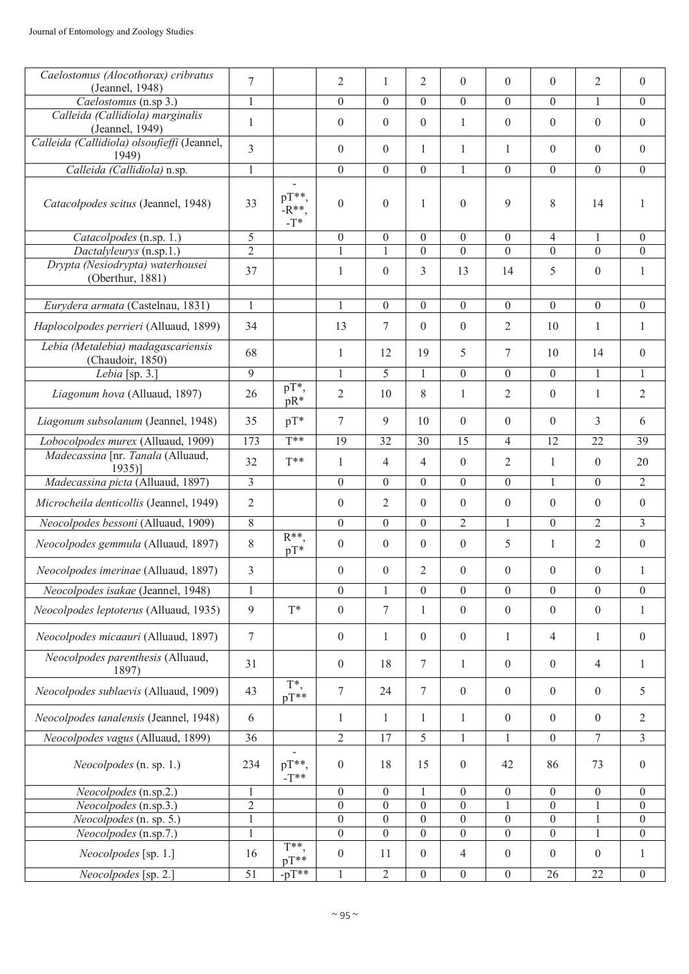| Caelostomus (Alocothorax) cribratus                    | 7              |                              | $\overline{2}$   | $\mathbf{1}$    | $\overline{2}$   | $\theta$         | $\theta$         | $\theta$         | $\overline{2}$  | $\overline{0}$   |
|--------------------------------------------------------|----------------|------------------------------|------------------|-----------------|------------------|------------------|------------------|------------------|-----------------|------------------|
| (Jeannel, 1948)<br>Caelostomus (n.sp 3.)               | 1              |                              | $\theta$         | $\theta$        | $\theta$         | $\theta$         | $\theta$         | $\theta$         | 1               | $\overline{0}$   |
| Calleida (Callidiola) marginalis                       |                |                              |                  |                 |                  |                  |                  |                  |                 |                  |
| (Jeannel, 1949)                                        | $\mathbf{1}$   |                              | $\theta$         | $\overline{0}$  | $\mathbf{0}$     | $\mathbf{1}$     | $\overline{0}$   | $\overline{0}$   | $\theta$        | $\mathbf{0}$     |
| Calleida (Callidiola) olsoufieffi (Jeannel,<br>1949)   | 3              |                              | $\boldsymbol{0}$ | $\overline{0}$  | 1                | $\mathbf{1}$     | 1                | $\theta$         | $\theta$        | $\overline{0}$   |
| Calleida (Callidiola) n.sp.                            | $\,1$          |                              | $\mathbf{0}$     | $\overline{0}$  | $\boldsymbol{0}$ | $\mathbf{1}$     | $\boldsymbol{0}$ | $\theta$         | $\Omega$        | $\mathbf{0}$     |
| Catacolpodes scitus (Jeannel, 1948)                    | 33             | $pT**$ .<br>$-R**$<br>$-T^*$ | $\mathbf{0}$     | $\theta$        | $\mathbf{1}$     | $\theta$         | 9                | 8                | 14              | $\overline{1}$   |
| Catacolpodes (n.sp. 1.)                                | 5              |                              | $\boldsymbol{0}$ | $\mathbf{0}$    | $\boldsymbol{0}$ | $\overline{0}$   | $\boldsymbol{0}$ | $\overline{4}$   |                 | $\overline{0}$   |
| Dactalyleurys (n.sp.1.)                                | $\overline{2}$ |                              |                  |                 | $\Omega$         | $\Omega$         | $\Omega$         | $\theta$         | $\theta$        | $\theta$         |
| Drypta (Nesiodrypta) waterhousei<br>(Oberthur, 1881)   | 37             |                              | 1                | $\mathbf{0}$    | 3                | 13               | 14               | 5                | $\mathbf{0}$    | $\mathbf{1}$     |
| Eurydera armata (Castelnau, 1831)                      | $\mathbf{1}$   |                              | $\mathbf{1}$     | $\overline{0}$  | $\overline{0}$   | $\overline{0}$   | $\theta$         | $\theta$         | $\mathbf{0}$    | $\overline{0}$   |
| Haplocolpodes perrieri (Alluaud, 1899)                 | 34             |                              | 13               | $\tau$          | $\mathbf{0}$     | $\boldsymbol{0}$ | $\overline{2}$   | 10               | 1               | $\mathbf{1}$     |
| Lebia (Metalebia) madagascariensis<br>(Chaudoir, 1850) | 68             |                              | $\mathbf{1}$     | 12              | 19               | 5                | 7                | 10               | 14              | $\overline{0}$   |
| Lebia [sp. 3.]                                         | $\overline{9}$ |                              | $\mathbf{1}$     | $\overline{5}$  | $\mathbf{1}$     | $\overline{0}$   | $\theta$         | $\overline{0}$   | $\mathbf{1}$    | $\mathbf{1}$     |
| Liagonum hova (Alluaud, 1897)                          | 26             | $pT^*$<br>$pR*$              | $\overline{2}$   | 10              | 8                | $\mathbf{1}$     | $\overline{2}$   | $\overline{0}$   | $\mathbf{1}$    | $\overline{2}$   |
| Liagonum subsolanum (Jeannel, 1948)                    | 35             | $pT^*$                       | 7                | 9               | 10               | $\theta$         | $\overline{0}$   | $\theta$         | 3               | 6                |
| Lobocolpodes murex (Alluaud, 1909)                     | 173            | $\overline{T^{**}}$          | $\overline{19}$  | $\overline{32}$ | 30               | $\overline{15}$  | $\overline{4}$   | 12               | 22              | $\overline{39}$  |
| Madecassina [nr. Tanala (Alluaud,<br>$1935$ ]          | 32             | $T^{**}$                     | 1                | $\overline{4}$  | $\overline{4}$   | $\theta$         | 2                | $\mathbf{1}$     | $\theta$        | 20               |
| Madecassina picta (Alluaud, 1897)                      | 3              |                              | $\boldsymbol{0}$ | $\mathbf{0}$    | $\boldsymbol{0}$ | $\boldsymbol{0}$ | $\boldsymbol{0}$ | 1                | $\Omega$        | $\overline{2}$   |
| Microcheila denticollis (Jeannel, 1949)                | $\overline{2}$ |                              | $\mathbf{0}$     | $\overline{2}$  | $\mathbf{0}$     | $\theta$         | $\boldsymbol{0}$ | $\theta$         | $\theta$        | $\mathbf{0}$     |
| Neocolpodes bessoni (Alluaud, 1909)                    | 8              |                              | $\mathbf{0}$     | $\mathbf{0}$    | $\mathbf{0}$     | $\overline{2}$   | 1                | $\theta$         | $\overline{2}$  | $\overline{3}$   |
| Neocolpodes gemmula (Alluaud, 1897)                    | 8              | $R^{**}$<br>$pT^*$           | $\mathbf{0}$     | $\overline{0}$  | $\mathbf{0}$     | $\theta$         | 5                | $\mathbf{1}$     | 2               | $\mathbf{0}$     |
| Neocolpodes imerinae (Alluaud, 1897)                   | 3              |                              | $\boldsymbol{0}$ | $\overline{0}$  | $\mathfrak{2}$   | $\boldsymbol{0}$ | $\boldsymbol{0}$ | $\boldsymbol{0}$ | $\mathbf{0}$    | $\mathbf{1}$     |
| Neocolpodes isakae (Jeannel, 1948)                     | $\mathbf{1}$   |                              | $\overline{0}$   |                 | $\overline{0}$   | $\overline{0}$   | $\overline{0}$   | $\overline{0}$   | $\theta$        | $\overline{0}$   |
| Neocolpodes leptoterus (Alluaud, 1935)                 | 9              | $T^*$                        | $\boldsymbol{0}$ | $\tau$          | $\mathbf{1}$     | $\overline{0}$   | $\boldsymbol{0}$ | $\mathbf{0}$     | $\mathbf{0}$    | $\mathbf{1}$     |
| Neocolpodes micaauri (Alluaud, 1897)                   | $\tau$         |                              | $\boldsymbol{0}$ | 1               | $\mathbf{0}$     | $\overline{0}$   | 1                | 4                | 1               | $\mathbf{0}$     |
| Neocolpodes parenthesis (Alluaud,<br>1897)             | 31             |                              | $\boldsymbol{0}$ | 18              | $\tau$           | $\mathbf{1}$     | $\boldsymbol{0}$ | $\overline{0}$   | 4               | 1                |
| Neocolpodes sublaevis (Alluaud, 1909)                  | 43             | T*,<br>$pT^{**}$             | $\boldsymbol{7}$ | 24              | $\tau$           | $\boldsymbol{0}$ | $\boldsymbol{0}$ | $\overline{0}$   | $\mathbf{0}$    | 5                |
| Neocolpodes tanalensis (Jeannel, 1948)                 | 6              |                              | 1                | 1               | 1                | $\mathbf{1}$     | $\boldsymbol{0}$ | $\overline{0}$   | $\mathbf{0}$    | $\overline{2}$   |
| Neocolpodes vagus (Alluaud, 1899)                      | 36             |                              | $\overline{2}$   | $\overline{17}$ | 5                | $\mathbf{1}$     | $\mathbf{1}$     | $\mathbf{0}$     | $7\phantom{.0}$ | $\mathfrak{Z}$   |
| Neocolpodes (n. sp. 1.)                                | 234            | $pT**$<br>$-T**$             | $\boldsymbol{0}$ | 18              | 15               | $\boldsymbol{0}$ | 42               | 86               | 73              | $\mathbf{0}$     |
| Neocolpodes (n.sp.2.)                                  | 1              |                              | $\boldsymbol{0}$ | $\mathbf{0}$    |                  | $\boldsymbol{0}$ | $\overline{0}$   | $\overline{0}$   | $\mathbf{0}$    | $\overline{0}$   |
| Neocolpodes (n.sp.3.)                                  | $\overline{2}$ |                              | $\boldsymbol{0}$ | $\overline{0}$  | $\boldsymbol{0}$ | $\boldsymbol{0}$ |                  | $\boldsymbol{0}$ |                 | $\theta$         |
| Neocolpodes (n. sp. 5.)                                | $\overline{1}$ |                              | $\overline{0}$   | $\mathbf{0}$    | $\overline{0}$   | $\overline{0}$   | $\boldsymbol{0}$ | $\boldsymbol{0}$ | $\mathbf{1}$    | $\overline{0}$   |
| Neocolpodes (n.sp.7.)                                  | $\mathbf{1}$   | $T^{**}$                     | $\overline{0}$   | $\overline{0}$  | $\overline{0}$   | $\overline{0}$   | $\boldsymbol{0}$ | $\boldsymbol{0}$ | $\mathbf{1}$    | $\mathbf{0}$     |
| Neocolpodes [sp. 1.]                                   | 16             | $pT**$                       | $\boldsymbol{0}$ | 11              | $\boldsymbol{0}$ | $\overline{4}$   | $\boldsymbol{0}$ | $\mathbf{0}$     | $\mathbf{0}$    | $\mathbf{1}$     |
| Neocolpodes [sp. 2.]                                   | 51             | $-pT**$                      |                  | $\overline{2}$  | $\boldsymbol{0}$ | $\boldsymbol{0}$ | $\boldsymbol{0}$ | 26               | 22              | $\boldsymbol{0}$ |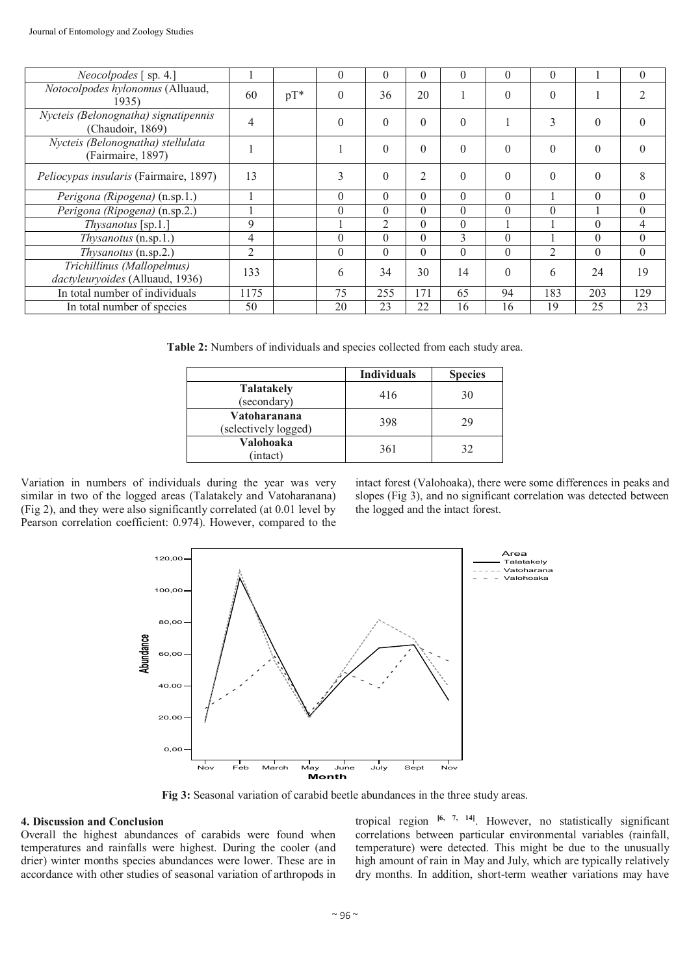| <i>Neocolpodes</i> [ sp. 4.]                                  |                |        | 0        | $\theta$ | $\theta$       | $\theta$ | $\theta$ | $\theta$       |          | $\theta$ |
|---------------------------------------------------------------|----------------|--------|----------|----------|----------------|----------|----------|----------------|----------|----------|
| Notocolpodes hylonomus (Alluaud,<br>1935)                     | 60             | $pT^*$ | $\theta$ | 36       | 20             |          | $\theta$ | $\theta$       |          |          |
| Nycteis (Belonognatha) signatipennis<br>(Chaudoir, 1869)      | $\overline{4}$ |        | $\theta$ | $\theta$ | $\theta$       | $\theta$ |          | 3              | $\theta$ | 0        |
| Nycteis (Belonognatha) stellulata<br>(Fairmaire, 1897)        |                |        |          | $\Omega$ | $\theta$       | $\theta$ | $\theta$ | $\theta$       | $\Omega$ | 0        |
| Peliocypas insularis (Fairmaire, 1897)                        | 13             |        | 3        | $\theta$ | $\overline{2}$ | $\theta$ | $\theta$ | $\theta$       | $\Omega$ | 8        |
| Perigona (Ripogena) (n.sp.1.)                                 |                |        | $\theta$ | $\theta$ | $\Omega$       | $\theta$ | $\theta$ |                | $\Omega$ | $\theta$ |
| Perigona (Ripogena) (n.sp.2.)                                 |                |        | $\theta$ | $\theta$ | $\theta$       | $\theta$ | $\theta$ | $\theta$       |          | $\theta$ |
| Thysanotus [sp.1.]                                            | 9              |        |          | 2        | $\Omega$       | $\Omega$ |          |                | $\theta$ | 4        |
| $Thysanotus$ (n.sp.1.)                                        | 4              |        | $\Omega$ | $\Omega$ | $\Omega$       | 3        | $\Omega$ |                | $\theta$ | $\theta$ |
| <i>Thysanotus</i> (n.sp.2.)                                   | 2              |        | $\theta$ | $\Omega$ | $\Omega$       | $\Omega$ | $\theta$ | $\overline{2}$ | $\theta$ | $\theta$ |
| Trichillinus (Mallopelmus)<br>dactyleuryoides (Alluaud, 1936) | 133            |        | 6        | 34       | 30             | 14       | $\Omega$ | 6              | 24       | 19       |
| In total number of individuals                                | 1175           |        | 75       | 255      | 171            | 65       | 94       | 183            | 203      | 129      |
| In total number of species                                    | 50             |        | 20       | 23       | 22             | 16       | 16       | 19             | 25       | 23       |

**Table 2:** Numbers of individuals and species collected from each study area.

|                                      | <b>Individuals</b> | <b>Species</b> |
|--------------------------------------|--------------------|----------------|
| <b>Talatakely</b><br>(secondary)     | 416                | 30             |
| Vatoharanana<br>(selectively logged) | 398                | 29             |
| Valohoaka<br>intact)                 | 361                | 32             |

Variation in numbers of individuals during the year was very similar in two of the logged areas (Talatakely and Vatoharanana) (Fig 2), and they were also significantly correlated (at 0.01 level by Pearson correlation coefficient: 0.974). However, compared to the intact forest (Valohoaka), there were some differences in peaks and slopes (Fig 3), and no significant correlation was detected between the logged and the intact forest.



**Fig 3:** Seasonal variation of carabid beetle abundances in the three study areas.

#### **4. Discussion and Conclusion**

Overall the highest abundances of carabids were found when temperatures and rainfalls were highest. During the cooler (and drier) winter months species abundances were lower. These are in accordance with other studies of seasonal variation of arthropods in

tropical region **[6, 7, 14]**. However, no statistically significant correlations between particular environmental variables (rainfall, temperature) were detected. This might be due to the unusually high amount of rain in May and July, which are typically relatively dry months. In addition, short-term weather variations may have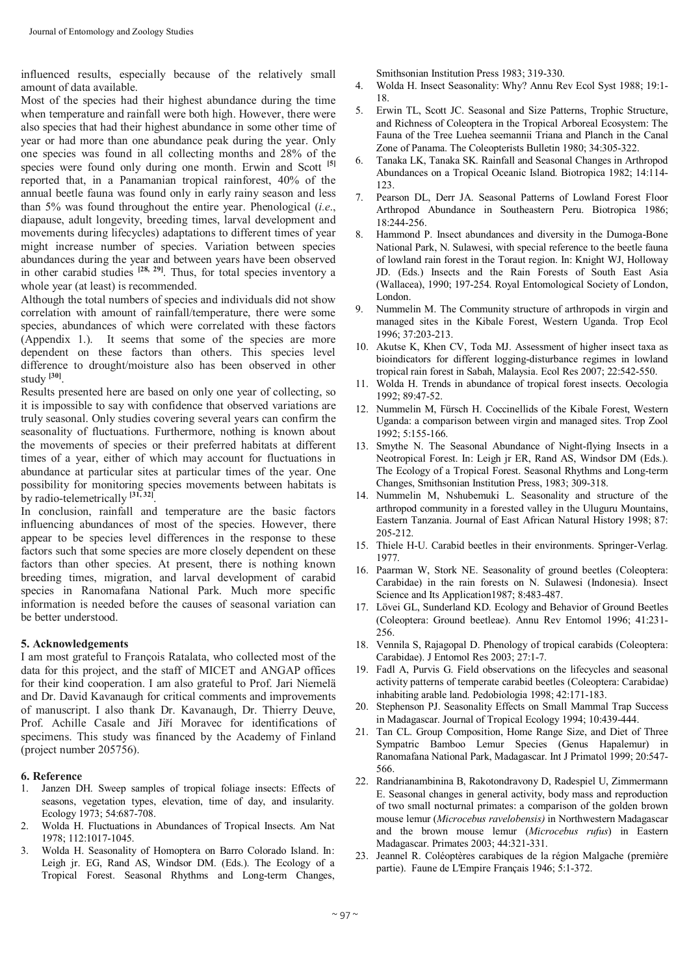influenced results, especially because of the relatively small amount of data available.

Most of the species had their highest abundance during the time when temperature and rainfall were both high. However, there were also species that had their highest abundance in some other time of year or had more than one abundance peak during the year. Only one species was found in all collecting months and 28% of the species were found only during one month. Erwin and Scott **[5]** reported that, in a Panamanian tropical rainforest, 40% of the annual beetle fauna was found only in early rainy season and less than 5% was found throughout the entire year. Phenological (*i.e*., diapause, adult longevity, breeding times, larval development and movements during lifecycles) adaptations to different times of year might increase number of species. Variation between species abundances during the year and between years have been observed in other carabid studies **[28, 29]**. Thus, for total species inventory a whole year (at least) is recommended.

Although the total numbers of species and individuals did not show correlation with amount of rainfall/temperature, there were some species, abundances of which were correlated with these factors (Appendix 1.). It seems that some of the species are more dependent on these factors than others. This species level difference to drought/moisture also has been observed in other study **[30]** .

Results presented here are based on only one year of collecting, so it is impossible to say with confidence that observed variations are truly seasonal. Only studies covering several years can confirm the seasonality of fluctuations. Furthermore, nothing is known about the movements of species or their preferred habitats at different times of a year, either of which may account for fluctuations in abundance at particular sites at particular times of the year. One possibility for monitoring species movements between habitats is by radio-telemetrically **[31, 32]** .

In conclusion, rainfall and temperature are the basic factors influencing abundances of most of the species. However, there appear to be species level differences in the response to these factors such that some species are more closely dependent on these factors than other species. At present, there is nothing known breeding times, migration, and larval development of carabid species in Ranomafana National Park. Much more specific information is needed before the causes of seasonal variation can be better understood.

#### **5. Acknowledgements**

I am most grateful to François Ratalata, who collected most of the data for this project, and the staff of MICET and ANGAP offices for their kind cooperation. I am also grateful to Prof. Jari Niemelä and Dr. David Kavanaugh for critical comments and improvements of manuscript. I also thank Dr. Kavanaugh, Dr. Thierry Deuve, Prof. Achille Casale and Jiří Moravec for identifications of specimens. This study was financed by the Academy of Finland (project number 205756).

#### **6. Reference**

- 1. Janzen DH. Sweep samples of tropical foliage insects: Effects of seasons, vegetation types, elevation, time of day, and insularity. Ecology 1973; 54:687-708.
- 2. Wolda H. Fluctuations in Abundances of Tropical Insects. Am Nat 1978; 112:1017-1045.
- 3. Wolda H. Seasonality of Homoptera on Barro Colorado Island. In: Leigh jr. EG, Rand AS, Windsor DM. (Eds.). The Ecology of a Tropical Forest. Seasonal Rhythms and Long-term Changes,

Smithsonian Institution Press 1983; 319-330.

- 4. Wolda H. Insect Seasonality: Why? Annu Rev Ecol Syst 1988; 19:1- 18.
- 5. Erwin TL, Scott JC. Seasonal and Size Patterns, Trophic Structure, and Richness of Coleoptera in the Tropical Arboreal Ecosystem: The Fauna of the Tree Luehea seemannii Triana and Planch in the Canal Zone of Panama. The Coleopterists Bulletin 1980; 34:305-322.
- 6. Tanaka LK, Tanaka SK. Rainfall and Seasonal Changes in Arthropod Abundances on a Tropical Oceanic Island. Biotropica 1982; 14:114- 123.
- 7. Pearson DL, Derr JA. Seasonal Patterns of Lowland Forest Floor Arthropod Abundance in Southeastern Peru. Biotropica 1986; 18:244-256.
- 8. Hammond P. Insect abundances and diversity in the Dumoga-Bone National Park, N. Sulawesi, with special reference to the beetle fauna of lowland rain forest in the Toraut region. In: Knight WJ, Holloway JD. (Eds.) Insects and the Rain Forests of South East Asia (Wallacea), 1990; 197-254. Royal Entomological Society of London, London.
- 9. Nummelin M. The Community structure of arthropods in virgin and managed sites in the Kibale Forest, Western Uganda. Trop Ecol 1996; 37:203-213.
- 10. Akutse K, Khen CV, Toda MJ. Assessment of higher insect taxa as bioindicators for different logging-disturbance regimes in lowland tropical rain forest in Sabah, Malaysia. Ecol Res 2007; 22:542-550.
- 11. Wolda H. Trends in abundance of tropical forest insects. Oecologia 1992; 89:47-52.
- 12. Nummelin M, Fürsch H. Coccinellids of the Kibale Forest, Western Uganda: a comparison between virgin and managed sites. Trop Zool 1992; 5:155-166.
- 13. Smythe N. The Seasonal Abundance of Night-flying Insects in a Neotropical Forest. In: Leigh jr ER, Rand AS, Windsor DM (Eds.). The Ecology of a Tropical Forest. Seasonal Rhythms and Long-term Changes, Smithsonian Institution Press, 1983; 309-318.
- 14. Nummelin M, Nshubemuki L. Seasonality and structure of the arthropod community in a forested valley in the Uluguru Mountains, Eastern Tanzania. Journal of East African Natural History 1998; 87: 205-212.
- 15. Thiele H-U. Carabid beetles in their environments. Springer-Verlag. 1977.
- 16. Paarman W, Stork NE. Seasonality of ground beetles (Coleoptera: Carabidae) in the rain forests on N. Sulawesi (Indonesia). Insect Science and Its Application1987; 8:483-487.
- 17. Lövei GL, Sunderland KD. Ecology and Behavior of Ground Beetles (Coleoptera: Ground beetleae). Annu Rev Entomol 1996; 41:231- 256.
- 18. Vennila S, Rajagopal D. Phenology of tropical carabids (Coleoptera: Carabidae). J Entomol Res 2003; 27:1-7.
- 19. Fadl A, Purvis G. Field observations on the lifecycles and seasonal activity patterns of temperate carabid beetles (Coleoptera: Carabidae) inhabiting arable land. Pedobiologia 1998; 42:171-183.
- 20. Stephenson PJ. Seasonality Effects on Small Mammal Trap Success in Madagascar. Journal of Tropical Ecology 1994; 10:439-444.
- 21. Tan CL. Group Composition, Home Range Size, and Diet of Three Sympatric Bamboo Lemur Species (Genus Hapalemur) in Ranomafana National Park, Madagascar. Int J Primatol 1999; 20:547- 566.
- 22. Randrianambinina B, Rakotondravony D, Radespiel U, Zimmermann E. Seasonal changes in general activity, body mass and reproduction of two small nocturnal primates: a comparison of the golden brown mouse lemur (*Microcebus ravelobensis)* in Northwestern Madagascar and the brown mouse lemur (*Microcebus rufus*) in Eastern Madagascar. Primates 2003; 44:321-331.
- 23. Jeannel R. Coléoptères carabiques de la région Malgache (première partie). Faune de L'Empire Français 1946; 5:1-372.